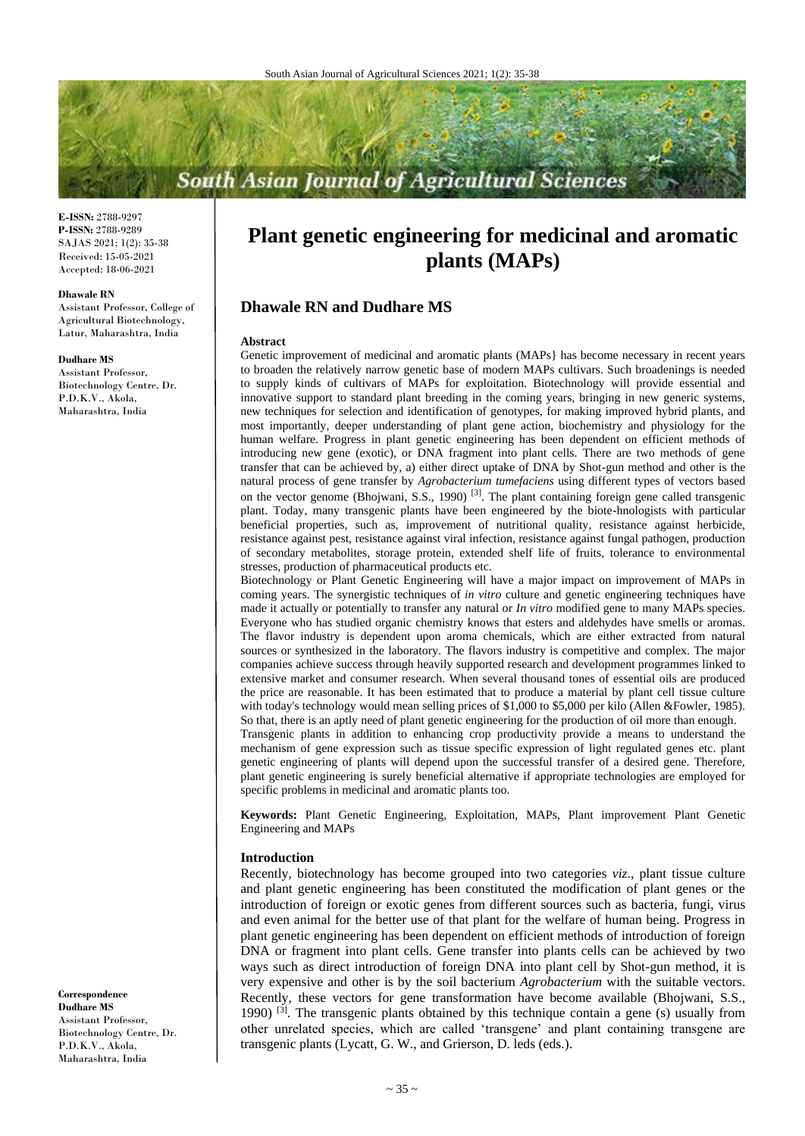# **South Asian Journal of Agricultural Sciences**

**E-ISSN:** 2788-9297 **P-ISSN:** 2788-9289 SAJAS 2021; 1(2): 35-38 Received: 15-05-2021 Accepted: 18-06-2021

#### **Dhawale RN**

Assistant Professor, College of Agricultural Biotechnology, Latur, Maharashtra, India

#### **Dudhare MS**

Assistant Professor, Biotechnology Centre, Dr. P.D.K.V., Akola, Maharashtra, India

**Correspondence Dudhare MS** Assistant Professor, Biotechnology Centre, Dr. P.D.K.V., Akola, Maharashtra, India

# **Plant genetic engineering for medicinal and aromatic plants (MAPs)**

# **Dhawale RN and Dudhare MS**

#### **Abstract**

Genetic improvement of medicinal and aromatic plants (MAPs} has become necessary in recent years to broaden the relatively narrow genetic base of modern MAPs cultivars. Such broadenings is needed to supply kinds of cultivars of MAPs for exploitation. Biotechnology will provide essential and innovative support to standard plant breeding in the coming years, bringing in new generic systems, new techniques for selection and identification of genotypes, for making improved hybrid plants, and most importantly, deeper understanding of plant gene action, biochemistry and physiology for the human welfare. Progress in plant genetic engineering has been dependent on efficient methods of introducing new gene (exotic), or DNA fragment into plant cells. There are two methods of gene transfer that can be achieved by, a) either direct uptake of DNA by Shot-gun method and other is the natural process of gene transfer by *Agrobacterium tumefaciens* using different types of vectors based on the vector genome (Bhojwani, S.S., 1990)<sup>[3]</sup>. The plant containing foreign gene called transgenic plant. Today, many transgenic plants have been engineered by the biote-hnologists with particular beneficial properties, such as, improvement of nutritional quality, resistance against herbicide, resistance against pest, resistance against viral infection, resistance against fungal pathogen, production of secondary metabolites, storage protein, extended shelf life of fruits, tolerance to environmental stresses, production of pharmaceutical products etc.

Biotechnology or Plant Genetic Engineering will have a major impact on improvement of MAPs in coming years. The synergistic techniques of *in vitro* culture and genetic engineering techniques have made it actually or potentially to transfer any natural or *In vitro* modified gene to many MAPs species. Everyone who has studied organic chemistry knows that esters and aldehydes have smells or aromas. The flavor industry is dependent upon aroma chemicals, which are either extracted from natural sources or synthesized in the laboratory. The flavors industry is competitive and complex. The major companies achieve success through heavily supported research and development programmes linked to extensive market and consumer research. When several thousand tones of essential oils are produced the price are reasonable. It has been estimated that to produce a material by plant cell tissue culture with today's technology would mean selling prices of \$1,000 to \$5,000 per kilo (Allen &Fowler, 1985). So that, there is an aptly need of plant genetic engineering for the production of oil more than enough.

Transgenic plants in addition to enhancing crop productivity provide a means to understand the mechanism of gene expression such as tissue specific expression of light regulated genes etc. plant genetic engineering of plants will depend upon the successful transfer of a desired gene. Therefore, plant genetic engineering is surely beneficial alternative if appropriate technologies are employed for specific problems in medicinal and aromatic plants too.

**Keywords:** Plant Genetic Engineering, Exploitation, MAPs, Plant improvement Plant Genetic Engineering and MAPs

### **Introduction**

Recently, biotechnology has become grouped into two categories *viz*., plant tissue culture and plant genetic engineering has been constituted the modification of plant genes or the introduction of foreign or exotic genes from different sources such as bacteria, fungi, virus and even animal for the better use of that plant for the welfare of human being. Progress in plant genetic engineering has been dependent on efficient methods of introduction of foreign DNA or fragment into plant cells. Gene transfer into plants cells can be achieved by two ways such as direct introduction of foreign DNA into plant cell by Shot-gun method, it is very expensive and other is by the soil bacterium *Agrobacterium* with the suitable vectors. Recently, these vectors for gene transformation have become available (Bhojwani, S.S., 1990) <sup>[3]</sup>. The transgenic plants obtained by this technique contain a gene (s) usually from other unrelated species, which are called 'transgene' and plant containing transgene are transgenic plants (Lycatt, G. W., and Grierson, D. leds (eds.).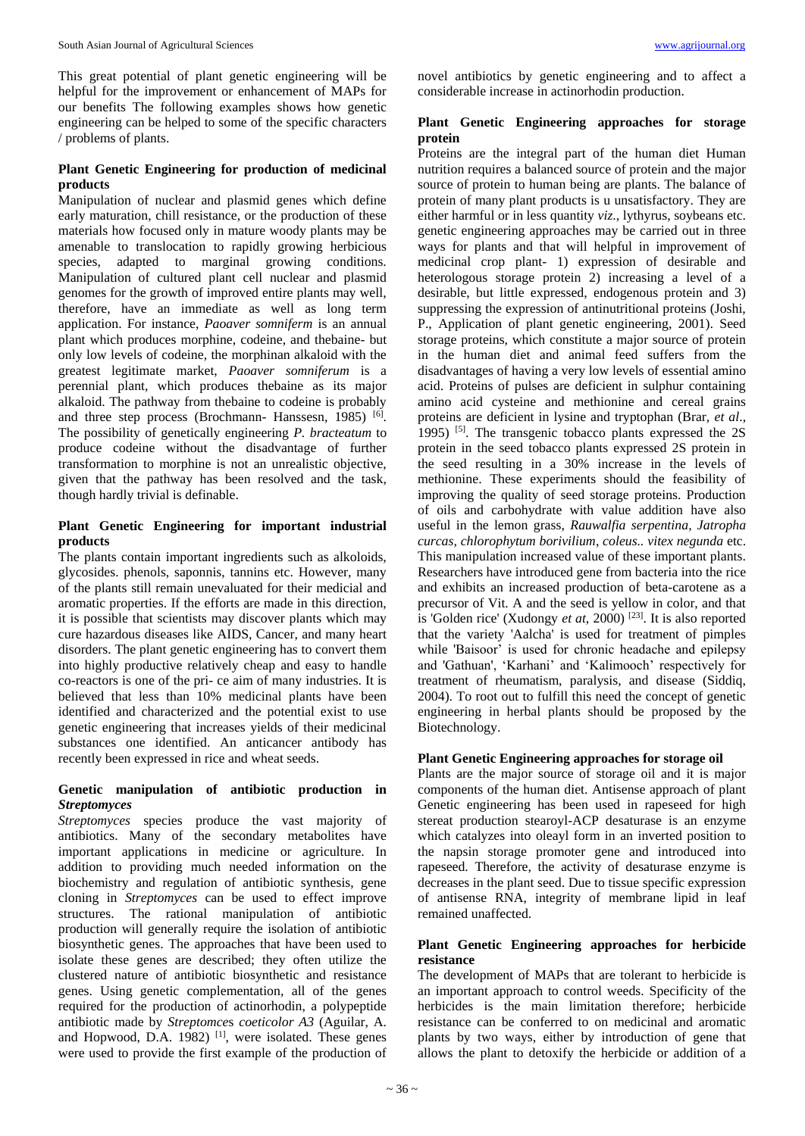This great potential of plant genetic engineering will be helpful for the improvement or enhancement of MAPs for our benefits The following examples shows how genetic engineering can be helped to some of the specific characters / problems of plants.

# **Plant Genetic Engineering for production of medicinal products**

Manipulation of nuclear and plasmid genes which define early maturation, chill resistance, or the production of these materials how focused only in mature woody plants may be amenable to translocation to rapidly growing herbicious species, adapted to marginal growing conditions. Manipulation of cultured plant cell nuclear and plasmid genomes for the growth of improved entire plants may well, therefore, have an immediate as well as long term application. For instance, *Paoaver somniferm* is an annual plant which produces morphine, codeine, and thebaine- but only low levels of codeine, the morphinan alkaloid with the greatest legitimate market, *Paoaver somniferum* is a perennial plant, which produces thebaine as its major alkaloid. The pathway from thebaine to codeine is probably and three step process (Brochmann- Hanssesn, 1985) [6]. The possibility of genetically engineering *P. bracteatum* to produce codeine without the disadvantage of further transformation to morphine is not an unrealistic objective, given that the pathway has been resolved and the task, though hardly trivial is definable.

# **Plant Genetic Engineering for important industrial products**

The plants contain important ingredients such as alkoloids, glycosides. phenols, saponnis, tannins etc. However, many of the plants still remain unevaluated for their medicial and aromatic properties. If the efforts are made in this direction, it is possible that scientists may discover plants which may cure hazardous diseases like AIDS, Cancer, and many heart disorders. The plant genetic engineering has to convert them into highly productive relatively cheap and easy to handle co-reactors is one of the pri- ce aim of many industries. It is believed that less than 10% medicinal plants have been identified and characterized and the potential exist to use genetic engineering that increases yields of their medicinal substances one identified. An anticancer antibody has recently been expressed in rice and wheat seeds.

# **Genetic manipulation of antibiotic production in**  *Streptomyces*

*Streptomyces* species produce the vast majority of antibiotics. Many of the secondary metabolites have important applications in medicine or agriculture. In addition to providing much needed information on the biochemistry and regulation of antibiotic synthesis, gene cloning in *Streptomyces* can be used to effect improve structures. The rational manipulation of antibiotic production will generally require the isolation of antibiotic biosynthetic genes. The approaches that have been used to isolate these genes are described; they often utilize the clustered nature of antibiotic biosynthetic and resistance genes. Using genetic complementation, all of the genes required for the production of actinorhodin, a polypeptide antibiotic made by *Streptomce*s *coeticolor A3* (Aguilar, A. and Hopwood, D.A. 1982)  $[1]$ , were isolated. These genes were used to provide the first example of the production of novel antibiotics by genetic engineering and to affect a considerable increase in actinorhodin production.

## **Plant Genetic Engineering approaches for storage protein**

Proteins are the integral part of the human diet Human nutrition requires a balanced source of protein and the major source of protein to human being are plants. The balance of protein of many plant products is u unsatisfactory. They are either harmful or in less quantity *viz*., lythyrus, soybeans etc. genetic engineering approaches may be carried out in three ways for plants and that will helpful in improvement of medicinal crop plant- 1) expression of desirable and heterologous storage protein 2) increasing a level of a desirable, but little expressed, endogenous protein and 3) suppressing the expression of antinutritional proteins (Joshi, P., Application of plant genetic engineering, 2001). Seed storage proteins, which constitute a major source of protein in the human diet and animal feed suffers from the disadvantages of having a very low levels of essential amino acid. Proteins of pulses are deficient in sulphur containing amino acid cysteine and methionine and cereal grains proteins are deficient in lysine and tryptophan (Brar, *et al*., 1995)  $[5]$ . The transgenic tobacco plants expressed the 2S protein in the seed tobacco plants expressed 2S protein in the seed resulting in a 30% increase in the levels of methionine. These experiments should the feasibility of improving the quality of seed storage proteins. Production of oils and carbohydrate with value addition have also useful in the lemon grass, *Rauwalfia serpentina, Jatropha curcas, chlorophytum borivilium*, *coleus.. vitex negunda* etc. This manipulation increased value of these important plants. Researchers have introduced gene from bacteria into the rice and exhibits an increased production of beta-carotene as a precursor of Vit. A and the seed is yellow in color, and that is 'Golden rice' (Xudongy *et at*, 2000)<sup>[23]</sup>. It is also reported that the variety 'Aalcha' is used for treatment of pimples while 'Baisoor' is used for chronic headache and epilepsy and 'Gathuan', 'Karhani' and 'Kalimooch' respectively for treatment of rheumatism, paralysis, and disease (Siddiq, 2004). To root out to fulfill this need the concept of genetic engineering in herbal plants should be proposed by the Biotechnology.

# **Plant Genetic Engineering approaches for storage oil**

Plants are the major source of storage oil and it is major components of the human diet. Antisense approach of plant Genetic engineering has been used in rapeseed for high stereat production stearoyl-ACP desaturase is an enzyme which catalyzes into oleayl form in an inverted position to the napsin storage promoter gene and introduced into rapeseed. Therefore, the activity of desaturase enzyme is decreases in the plant seed. Due to tissue specific expression of antisense RNA, integrity of membrane lipid in leaf remained unaffected.

# **Plant Genetic Engineering approaches for herbicide resistance**

The development of MAPs that are tolerant to herbicide is an important approach to control weeds. Specificity of the herbicides is the main limitation therefore; herbicide resistance can be conferred to on medicinal and aromatic plants by two ways, either by introduction of gene that allows the plant to detoxify the herbicide or addition of a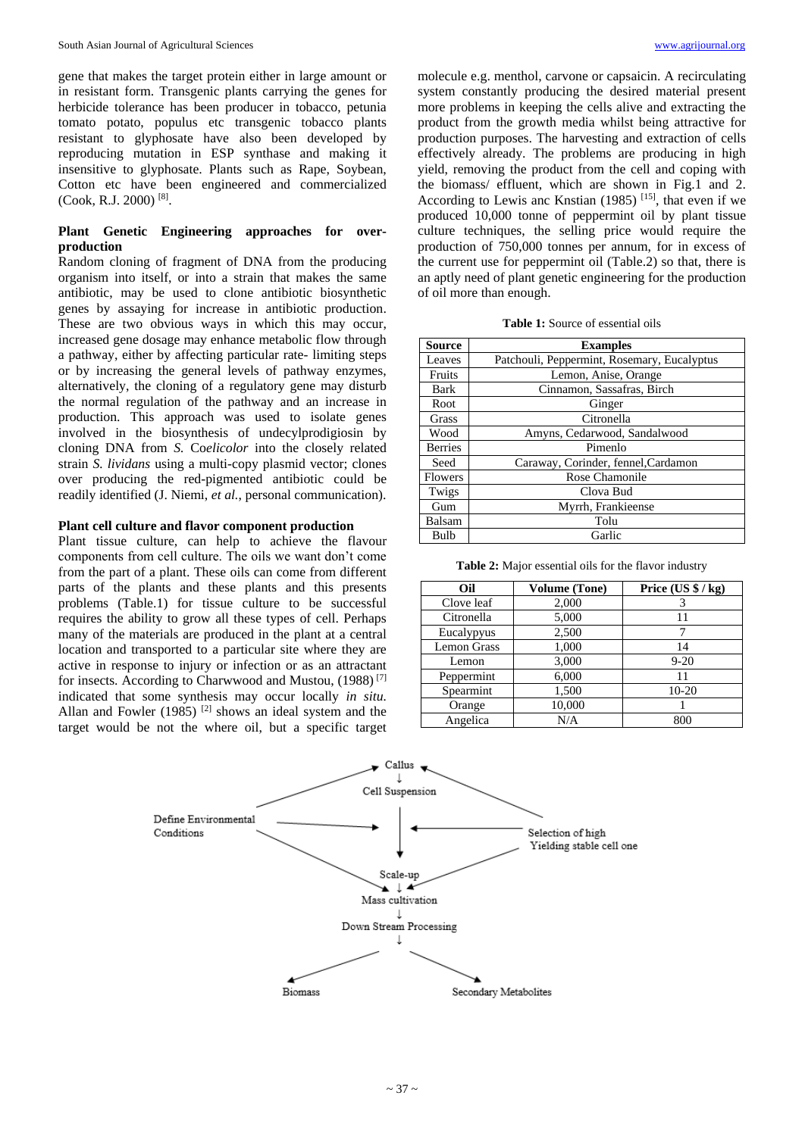gene that makes the target protein either in large amount or in resistant form. Transgenic plants carrying the genes for herbicide tolerance has been producer in tobacco, petunia tomato potato, populus etc transgenic tobacco plants resistant to glyphosate have also been developed by reproducing mutation in ESP synthase and making it insensitive to glyphosate. Plants such as Rape, Soybean, Cotton etc have been engineered and commercialized (Cook, R.J. 2000) [8] .

# **Plant Genetic Engineering approaches for overproduction**

Random cloning of fragment of DNA from the producing organism into itself, or into a strain that makes the same antibiotic, may be used to clone antibiotic biosynthetic genes by assaying for increase in antibiotic production. These are two obvious ways in which this may occur, increased gene dosage may enhance metabolic flow through a pathway, either by affecting particular rate- limiting steps or by increasing the general levels of pathway enzymes, alternatively, the cloning of a regulatory gene may disturb the normal regulation of the pathway and an increase in production. This approach was used to isolate genes involved in the biosynthesis of undecylprodigiosin by cloning DNA from *S.* Co*elicolor* into the closely related strain *S. lividans* using a multi-copy plasmid vector; clones over producing the red-pigmented antibiotic could be readily identified (J. Niemi, *et al.*, personal communication).

### **Plant cell culture and flavor component production**

Plant tissue culture, can help to achieve the flavour components from cell culture. The oils we want don't come from the part of a plant. These oils can come from different parts of the plants and these plants and this presents problems (Table.1) for tissue culture to be successful requires the ability to grow all these types of cell. Perhaps many of the materials are produced in the plant at a central location and transported to a particular site where they are active in response to injury or infection or as an attractant for insects. According to Charwwood and Mustou, (1988) [7] indicated that some synthesis may occur locally *in situ.*  Allan and Fowler  $(1985)$ <sup>[2]</sup> shows an ideal system and the target would be not the where oil, but a specific target

molecule e.g. menthol, carvone or capsaicin. A recirculating system constantly producing the desired material present more problems in keeping the cells alive and extracting the product from the growth media whilst being attractive for production purposes. The harvesting and extraction of cells effectively already. The problems are producing in high yield, removing the product from the cell and coping with the biomass/ effluent, which are shown in Fig.1 and 2. According to Lewis anc Knstian  $(1985)$ <sup>[15]</sup>, that even if we produced 10,000 tonne of peppermint oil by plant tissue culture techniques, the selling price would require the production of 750,000 tonnes per annum, for in excess of the current use for peppermint oil (Table.2) so that, there is an aptly need of plant genetic engineering for the production of oil more than enough.

|  |  |  |  | <b>Table 1:</b> Source of essential oils |  |
|--|--|--|--|------------------------------------------|--|
|--|--|--|--|------------------------------------------|--|

| Source         | <b>Examples</b>                             |  |  |
|----------------|---------------------------------------------|--|--|
| Leaves         | Patchouli, Peppermint, Rosemary, Eucalyptus |  |  |
| Fruits         | Lemon, Anise, Orange                        |  |  |
| Bark           | Cinnamon, Sassafras, Birch                  |  |  |
| Root           | Ginger                                      |  |  |
| <b>Grass</b>   | Citronella                                  |  |  |
| Wood           | Amyns, Cedarwood, Sandalwood                |  |  |
| <b>Berries</b> | Pimenlo                                     |  |  |
| Seed           | Caraway, Corinder, fennel, Cardamon         |  |  |
| Flowers        | Rose Chamonile                              |  |  |
| Twigs          | Clova Bud                                   |  |  |
| Gum            | Myrrh, Frankieense                          |  |  |
| Balsam         | Tolu                                        |  |  |
| Bulb           | Garlic                                      |  |  |

**Table 2:** Major essential oils for the flavor industry

| Oil                | <b>Volume (Tone)</b> | Price $(US $ / kg)$ |
|--------------------|----------------------|---------------------|
| Clove leaf         | 2,000                |                     |
| Citronella         | 5,000                | 11                  |
| Eucalypyus         | 2,500                | 7                   |
| <b>Lemon Grass</b> | 1,000                | 14                  |
| Lemon              | 3,000                | $9 - 20$            |
| Peppermint         | 6,000                | 11                  |
| Spearmint          | 1,500                | 10-20               |
| Orange             | 10,000               |                     |
| Angelica           | N/A                  | 800                 |